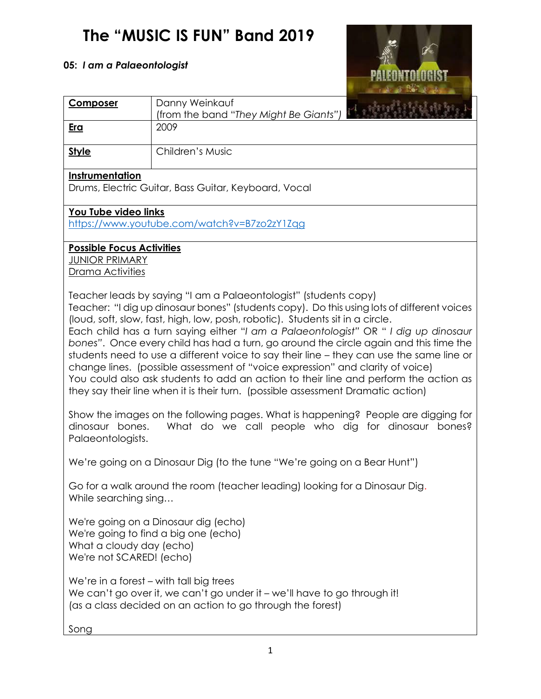## **The "MUSIC IS FUN" Band 2019**

## **05:** *I am a Palaeontologist*



| <b>Composer</b>                                                                                                                                                                                                                                                                                                                                                                                                                                                                                                                                                                                                                                                                                                                                                                           | Danny Weinkauf                                                                                                                          |  |  |  |  |
|-------------------------------------------------------------------------------------------------------------------------------------------------------------------------------------------------------------------------------------------------------------------------------------------------------------------------------------------------------------------------------------------------------------------------------------------------------------------------------------------------------------------------------------------------------------------------------------------------------------------------------------------------------------------------------------------------------------------------------------------------------------------------------------------|-----------------------------------------------------------------------------------------------------------------------------------------|--|--|--|--|
| <u>Era</u>                                                                                                                                                                                                                                                                                                                                                                                                                                                                                                                                                                                                                                                                                                                                                                                | (from the band "They Might Be Giants")<br>2009                                                                                          |  |  |  |  |
|                                                                                                                                                                                                                                                                                                                                                                                                                                                                                                                                                                                                                                                                                                                                                                                           |                                                                                                                                         |  |  |  |  |
| <b>Style</b>                                                                                                                                                                                                                                                                                                                                                                                                                                                                                                                                                                                                                                                                                                                                                                              | Children's Music                                                                                                                        |  |  |  |  |
| Instrumentation<br>Drums, Electric Guitar, Bass Guitar, Keyboard, Vocal                                                                                                                                                                                                                                                                                                                                                                                                                                                                                                                                                                                                                                                                                                                   |                                                                                                                                         |  |  |  |  |
|                                                                                                                                                                                                                                                                                                                                                                                                                                                                                                                                                                                                                                                                                                                                                                                           |                                                                                                                                         |  |  |  |  |
| You Tube video links<br>https://www.youtube.com/watch?v=B7zo2zY1Zqg                                                                                                                                                                                                                                                                                                                                                                                                                                                                                                                                                                                                                                                                                                                       |                                                                                                                                         |  |  |  |  |
| <b>Possible Focus Activities</b><br><b>JUNIOR PRIMARY</b><br>Drama Activities                                                                                                                                                                                                                                                                                                                                                                                                                                                                                                                                                                                                                                                                                                             |                                                                                                                                         |  |  |  |  |
| Teacher leads by saying "I am a Palaeontologist" (students copy)<br>Teacher: "I dig up dinosaur bones" (students copy). Do this using lots of different voices<br>(loud, soft, slow, fast, high, low, posh, robotic). Students sit in a circle.<br>Each child has a turn saying either "I am a Palaeontologist" OR " I dig up dinosaur<br>bones". Once every child has had a turn, go around the circle again and this time the<br>students need to use a different voice to say their line - they can use the same line or<br>change lines. (possible assessment of "voice expression" and clarity of voice)<br>You could also ask students to add an action to their line and perform the action as<br>they say their line when it is their turn. (possible assessment Dramatic action) |                                                                                                                                         |  |  |  |  |
| dinosaur bones.<br>Palaeontologists.                                                                                                                                                                                                                                                                                                                                                                                                                                                                                                                                                                                                                                                                                                                                                      | Show the images on the following pages. What is happening? People are digging for<br>What do we call people who dig for dinosaur bones? |  |  |  |  |
| We're going on a Dinosaur Dig (to the tune "We're going on a Bear Hunt")                                                                                                                                                                                                                                                                                                                                                                                                                                                                                                                                                                                                                                                                                                                  |                                                                                                                                         |  |  |  |  |
| Go for a walk around the room (teacher leading) looking for a Dinosaur Dig.<br>While searching sing                                                                                                                                                                                                                                                                                                                                                                                                                                                                                                                                                                                                                                                                                       |                                                                                                                                         |  |  |  |  |
| We're going on a Dinosaur dig (echo)<br>We're going to find a big one (echo)<br>What a cloudy day (echo)<br>We're not SCARED! (echo)                                                                                                                                                                                                                                                                                                                                                                                                                                                                                                                                                                                                                                                      |                                                                                                                                         |  |  |  |  |
| We're in a forest - with tall big trees<br>We can't go over it, we can't go under it - we'll have to go through it!<br>(as a class decided on an action to go through the forest)                                                                                                                                                                                                                                                                                                                                                                                                                                                                                                                                                                                                         |                                                                                                                                         |  |  |  |  |
| Song                                                                                                                                                                                                                                                                                                                                                                                                                                                                                                                                                                                                                                                                                                                                                                                      |                                                                                                                                         |  |  |  |  |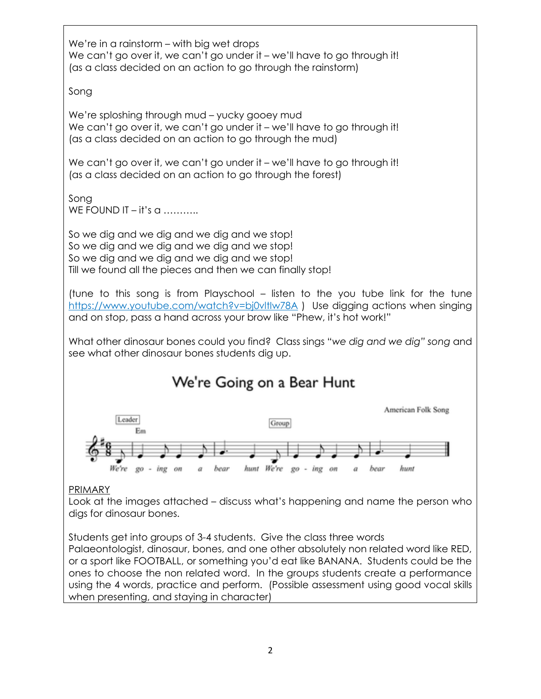We're in a rainstorm – with big wet drops We can't go over it, we can't go under it – we'll have to go through it! (as a class decided on an action to go through the rainstorm)

Song

We're sploshing through mud – yucky gooey mud We can't go over it, we can't go under it – we'll have to go through it! (as a class decided on an action to go through the mud)

We can't go over it, we can't go under it – we'll have to go through it! (as a class decided on an action to go through the forest)

Song WE FOUND IT – it's  $a$  ..........

So we dig and we dig and we dig and we stop! So we dig and we dig and we dig and we stop! So we dig and we dig and we dig and we stop! Till we found all the pieces and then we can finally stop!

(tune to this song is from Playschool – listen to the you tube link for the tune <https://www.youtube.com/watch?v=bj0vltIw78A> ) Use digging actions when singing and on stop, pass a hand across your brow like "Phew, it's hot work!"

What other dinosaur bones could you find? Class sings "*we dig and we dig" song* and see what other dinosaur bones students dig up.

## We're Going on a Bear Hunt



## PRIMARY

Look at the images attached – discuss what's happening and name the person who digs for dinosaur bones.

Students get into groups of 3-4 students. Give the class three words

Palaeontologist, dinosaur, bones, and one other absolutely non related word like RED, or a sport like FOOTBALL, or something you'd eat like BANANA. Students could be the ones to choose the non related word. In the groups students create a performance using the 4 words, practice and perform. (Possible assessment using good vocal skills when presenting, and staying in character)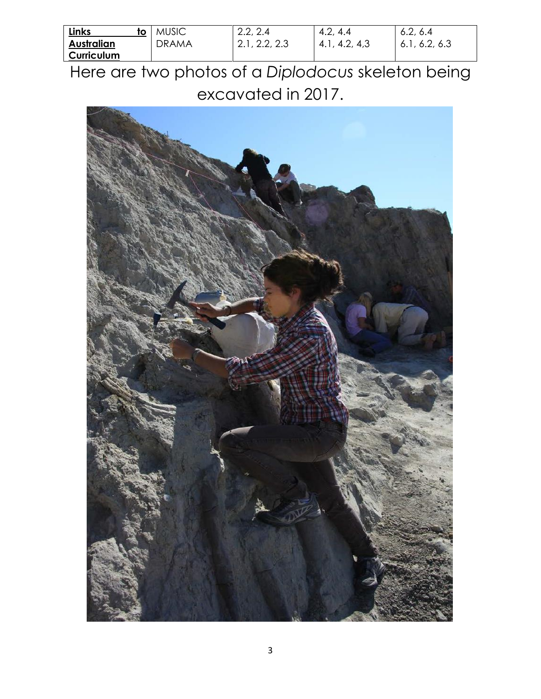| <b>Links</b><br>tΟ | <b>MUSIC</b> | 2.2, 2.4      | 4.2,<br>4.4      | 6.2, 6.4         |
|--------------------|--------------|---------------|------------------|------------------|
| <b>Australian</b>  | DRAMA        | 2.1, 2.2, 2.3 | 4.2, 4.3<br>4.1, | 6.2, 6.3<br>6.1, |
| Curriculum         |              |               |                  |                  |

Here are two photos of a *Diplodocus* skeleton being excavated in 2017.